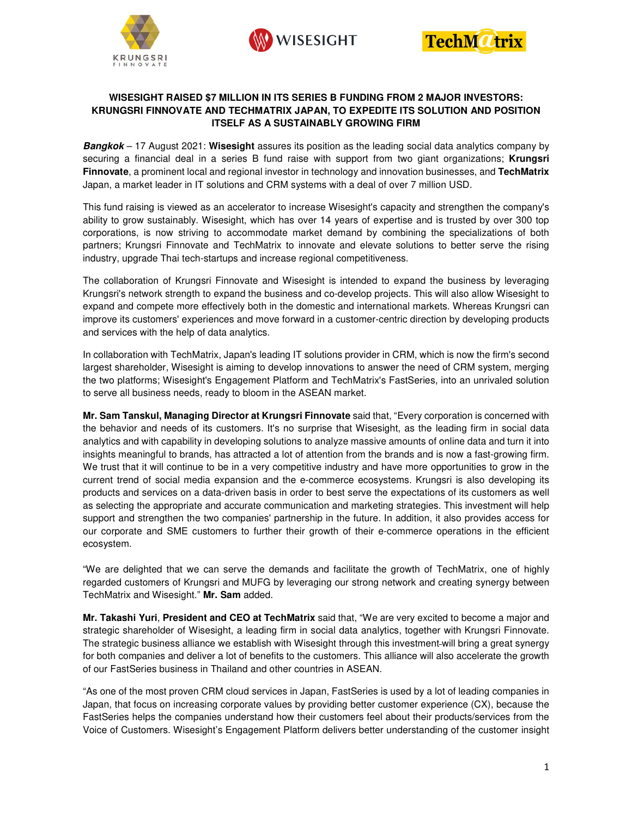





## **WISESIGHT RAISED \$7 MILLION IN ITS SERIES B FUNDING FROM 2 MAJOR INVESTORS: KRUNGSRI FINNOVATE AND TECHMATRIX JAPAN, TO EXPEDITE ITS SOLUTION AND POSITION ITSELF AS A SUSTAINABLY GROWING FIRM**

**Bangkok** – 17 August 2021: **Wisesight** assures its position as the leading social data analytics company by securing a financial deal in a series B fund raise with support from two giant organizations; **Krungsri Finnovate**, a prominent local and regional investor in technology and innovation businesses, and **TechMatrix** Japan, a market leader in IT solutions and CRM systems with a deal of over 7 million USD.

This fund raising is viewed as an accelerator to increase Wisesight's capacity and strengthen the company's ability to grow sustainably. Wisesight, which has over 14 years of expertise and is trusted by over 300 top corporations, is now striving to accommodate market demand by combining the specializations of both partners; Krungsri Finnovate and TechMatrix to innovate and elevate solutions to better serve the rising industry, upgrade Thai tech-startups and increase regional competitiveness.

The collaboration of Krungsri Finnovate and Wisesight is intended to expand the business by leveraging Krungsri's network strength to expand the business and co-develop projects. This will also allow Wisesight to expand and compete more effectively both in the domestic and international markets. Whereas Krungsri can improve its customers' experiences and move forward in a customer-centric direction by developing products and services with the help of data analytics.

In collaboration with TechMatrix, Japan's leading IT solutions provider in CRM, which is now the firm's second largest shareholder, Wisesight is aiming to develop innovations to answer the need of CRM system, merging the two platforms; Wisesight's Engagement Platform and TechMatrix's FastSeries, into an unrivaled solution to serve all business needs, ready to bloom in the ASEAN market.

**Mr. Sam Tanskul, Managing Director at Krungsri Finnovate** said that, "Every corporation is concerned with the behavior and needs of its customers. It's no surprise that Wisesight, as the leading firm in social data analytics and with capability in developing solutions to analyze massive amounts of online data and turn it into insights meaningful to brands, has attracted a lot of attention from the brands and is now a fast-growing firm. We trust that it will continue to be in a very competitive industry and have more opportunities to grow in the current trend of social media expansion and the e-commerce ecosystems. Krungsri is also developing its products and services on a data-driven basis in order to best serve the expectations of its customers as well as selecting the appropriate and accurate communication and marketing strategies. This investment will help support and strengthen the two companies' partnership in the future. In addition, it also provides access for our corporate and SME customers to further their growth of their e-commerce operations in the efficient ecosystem.

"We are delighted that we can serve the demands and facilitate the growth of TechMatrix, one of highly regarded customers of Krungsri and MUFG by leveraging our strong network and creating synergy between TechMatrix and Wisesight." **Mr. Sam** added.

**Mr. Takashi Yuri**, **President and CEO at TechMatrix** said that, "We are very excited to become a major and strategic shareholder of Wisesight, a leading firm in social data analytics, together with Krungsri Finnovate. The strategic business alliance we establish with Wisesight through this investment will bring a great synergy for both companies and deliver a lot of benefits to the customers. This alliance will also accelerate the growth of our FastSeries business in Thailand and other countries in ASEAN.

"As one of the most proven CRM cloud services in Japan, FastSeries is used by a lot of leading companies in Japan, that focus on increasing corporate values by providing better customer experience (CX), because the FastSeries helps the companies understand how their customers feel about their products/services from the Voice of Customers. Wisesight's Engagement Platform delivers better understanding of the customer insight